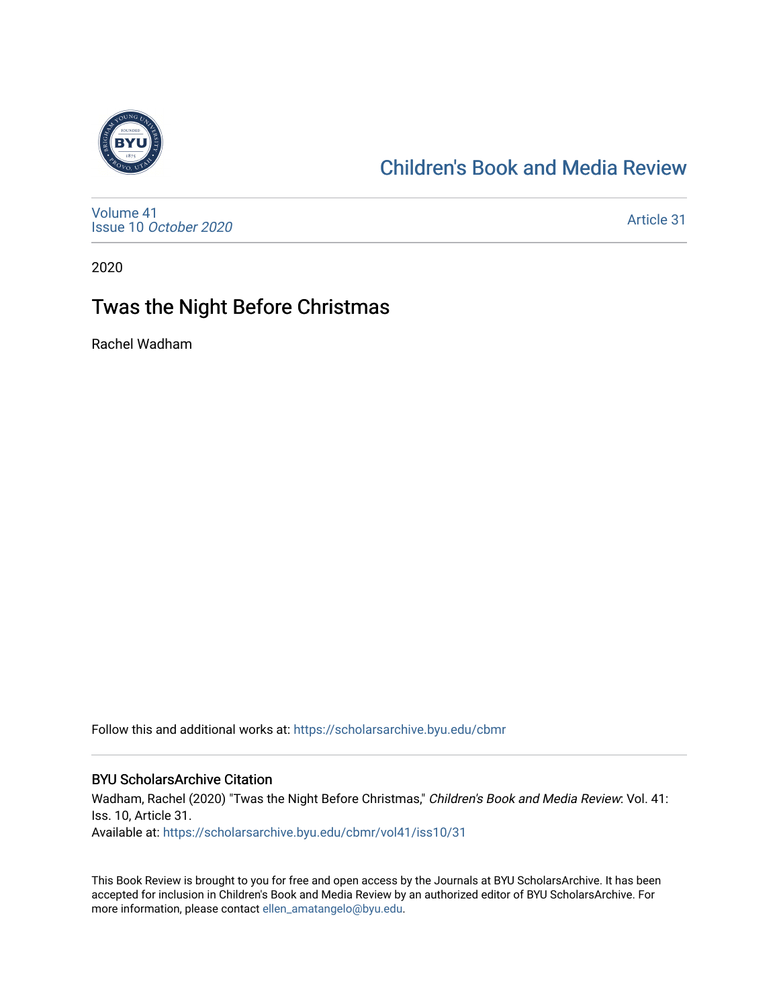

# [Children's Book and Media Review](https://scholarsarchive.byu.edu/cbmr)

[Volume 41](https://scholarsarchive.byu.edu/cbmr/vol41) Issue 10 [October 2020](https://scholarsarchive.byu.edu/cbmr/vol41/iss10)

[Article 31](https://scholarsarchive.byu.edu/cbmr/vol41/iss10/31) 

2020

# Twas the Night Before Christmas

Rachel Wadham

Follow this and additional works at: [https://scholarsarchive.byu.edu/cbmr](https://scholarsarchive.byu.edu/cbmr?utm_source=scholarsarchive.byu.edu%2Fcbmr%2Fvol41%2Fiss10%2F31&utm_medium=PDF&utm_campaign=PDFCoverPages) 

#### BYU ScholarsArchive Citation

Wadham, Rachel (2020) "Twas the Night Before Christmas," Children's Book and Media Review: Vol. 41: Iss. 10, Article 31. Available at: [https://scholarsarchive.byu.edu/cbmr/vol41/iss10/31](https://scholarsarchive.byu.edu/cbmr/vol41/iss10/31?utm_source=scholarsarchive.byu.edu%2Fcbmr%2Fvol41%2Fiss10%2F31&utm_medium=PDF&utm_campaign=PDFCoverPages) 

This Book Review is brought to you for free and open access by the Journals at BYU ScholarsArchive. It has been accepted for inclusion in Children's Book and Media Review by an authorized editor of BYU ScholarsArchive. For more information, please contact [ellen\\_amatangelo@byu.edu.](mailto:ellen_amatangelo@byu.edu)